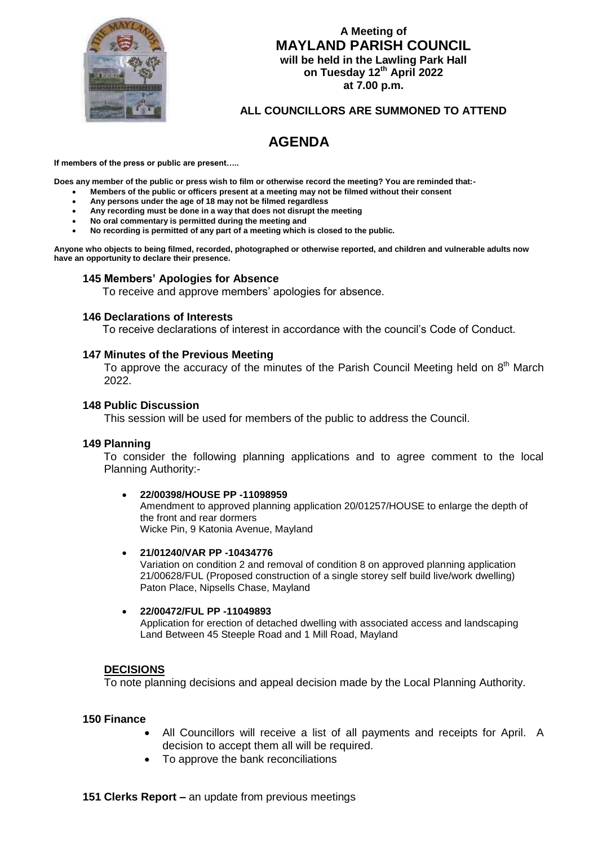

## **A Meeting of MAYLAND PARISH COUNCIL will be held in the Lawling Park Hall on Tuesday 12th April 2022 at 7.00 p.m.**

## **ALL COUNCILLORS ARE SUMMONED TO ATTEND**

# **AGENDA**

**If members of the press or public are present…..**

**Does any member of the public or press wish to film or otherwise record the meeting? You are reminded that:-**

- **Members of the public or officers present at a meeting may not be filmed without their consent**
- **Any persons under the age of 18 may not be filmed regardless**
- **Any recording must be done in a way that does not disrupt the meeting**
- **No oral commentary is permitted during the meeting and**
- **No recording is permitted of any part of a meeting which is closed to the public.**

**Anyone who objects to being filmed, recorded, photographed or otherwise reported, and children and vulnerable adults now have an opportunity to declare their presence.**

#### **145 Members' Apologies for Absence**

To receive and approve members' apologies for absence.

#### **146 Declarations of Interests**

To receive declarations of interest in accordance with the council's Code of Conduct.

#### **147 Minutes of the Previous Meeting**

To approve the accuracy of the minutes of the Parish Council Meeting held on  $8<sup>th</sup>$  March 2022.

#### **148 Public Discussion**

This session will be used for members of the public to address the Council.

#### **149 Planning**

To consider the following planning applications and to agree comment to the local Planning Authority:-

#### **22/00398/HOUSE PP -11098959**

Amendment to approved planning application 20/01257/HOUSE to enlarge the depth of the front and rear dormers Wicke Pin, 9 Katonia Avenue, Mayland

#### **21/01240/VAR PP -10434776**

Variation on condition 2 and removal of condition 8 on approved planning application 21/00628/FUL (Proposed construction of a single storey self build live/work dwelling) Paton Place, Nipsells Chase, Mayland

#### **22/00472/FUL PP -11049893**

 Application for erection of detached dwelling with associated access and landscaping Land Between 45 Steeple Road and 1 Mill Road, Mayland

#### **DECISIONS**

To note planning decisions and appeal decision made by the Local Planning Authority.

#### **150 Finance**

- All Councillors will receive a list of all payments and receipts for April. A decision to accept them all will be required.
- To approve the bank reconciliations